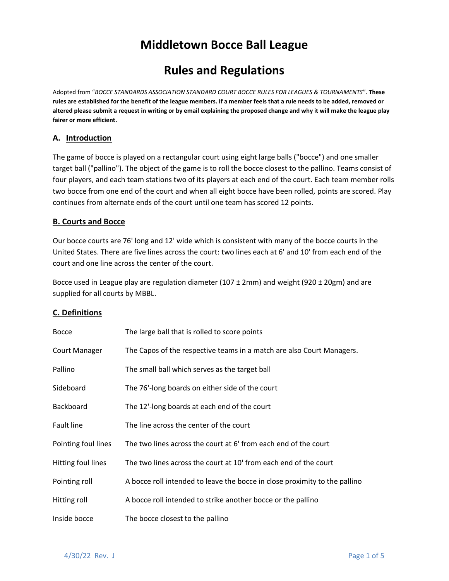# **Middletown Bocce Ball League**

# **Rules and Regulations**

Adopted from "*BOCCE STANDARDS ASSOCIATION STANDARD COURT BOCCE RULES FOR LEAGUES & TOURNAMENTS*". **These rules are established for the benefit of the league members. If a member feels that a rule needs to be added, removed or altered please submit a request in writing or by email explaining the proposed change and why it will make the league play fairer or more efficient.**

## **A. Introduction**

The game of bocce is played on a rectangular court using eight large balls ("bocce") and one smaller target ball ("pallino"). The object of the game is to roll the bocce closest to the pallino. Teams consist of four players, and each team stations two of its players at each end of the court. Each team member rolls two bocce from one end of the court and when all eight bocce have been rolled, points are scored. Play continues from alternate ends of the court until one team has scored 12 points.

## **B. Courts and Bocce**

Our bocce courts are 76' long and 12' wide which is consistent with many of the bocce courts in the United States. There are five lines across the court: two lines each at 6' and 10' from each end of the court and one line across the center of the court.

Bocce used in League play are regulation diameter (107 ± 2mm) and weight (920 ± 20gm) and are supplied for all courts by MBBL.

# **C. Definitions**

| <b>Bocce</b>        | The large ball that is rolled to score points                              |
|---------------------|----------------------------------------------------------------------------|
| Court Manager       | The Capos of the respective teams in a match are also Court Managers.      |
| Pallino             | The small ball which serves as the target ball                             |
| Sideboard           | The 76'-long boards on either side of the court                            |
| <b>Backboard</b>    | The 12'-long boards at each end of the court                               |
| Fault line          | The line across the center of the court                                    |
| Pointing foul lines | The two lines across the court at 6' from each end of the court            |
| Hitting foul lines  | The two lines across the court at 10' from each end of the court           |
| Pointing roll       | A bocce roll intended to leave the bocce in close proximity to the pallino |
| Hitting roll        | A bocce roll intended to strike another bocce or the pallino               |
| Inside bocce        | The bocce closest to the pallino                                           |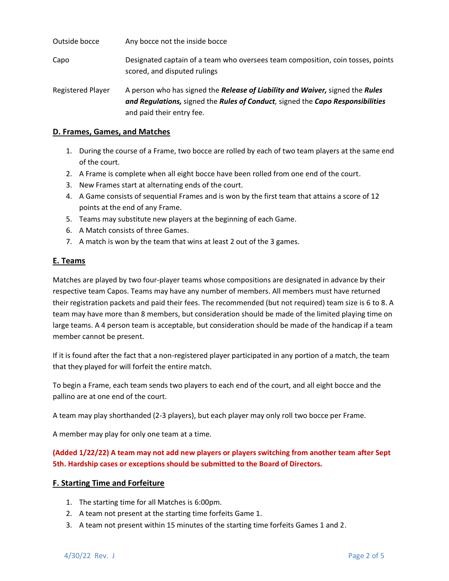| Outside bocce     | Any bocce not the inside bocce                                                                                                                                                               |
|-------------------|----------------------------------------------------------------------------------------------------------------------------------------------------------------------------------------------|
| Capo              | Designated captain of a team who oversees team composition, coin tosses, points<br>scored, and disputed rulings                                                                              |
| Registered Player | A person who has signed the Release of Liability and Waiver, signed the Rules<br>and Regulations, signed the Rules of Conduct, signed the Capo Responsibilities<br>and paid their entry fee. |

#### **D. Frames, Games, and Matches**

- 1. During the course of a Frame, two bocce are rolled by each of two team players at the same end of the court.
- 2. A Frame is complete when all eight bocce have been rolled from one end of the court.
- 3. New Frames start at alternating ends of the court.
- 4. A Game consists of sequential Frames and is won by the first team that attains a score of 12 points at the end of any Frame.
- 5. Teams may substitute new players at the beginning of each Game.
- 6. A Match consists of three Games.
- 7. A match is won by the team that wins at least 2 out of the 3 games.

## **E. Teams**

Matches are played by two four-player teams whose compositions are designated in advance by their respective team Capos. Teams may have any number of members. All members must have returned their registration packets and paid their fees. The recommended (but not required) team size is 6 to 8. A team may have more than 8 members, but consideration should be made of the limited playing time on large teams. A 4 person team is acceptable, but consideration should be made of the handicap if a team member cannot be present.

If it is found after the fact that a non-registered player participated in any portion of a match, the team that they played for will forfeit the entire match.

To begin a Frame, each team sends two players to each end of the court, and all eight bocce and the pallino are at one end of the court.

A team may play shorthanded (2-3 players), but each player may only roll two bocce per Frame.

A member may play for only one team at a time.

**(Added 1/22/22) A team may not add new players or players switching from another team after Sept 5th. Hardship cases or exceptions should be submitted to the Board of Directors.**

#### **F. Starting Time and Forfeiture**

- 1. The starting time for all Matches is 6:00pm.
- 2. A team not present at the starting time forfeits Game 1.
- 3. A team not present within 15 minutes of the starting time forfeits Games 1 and 2.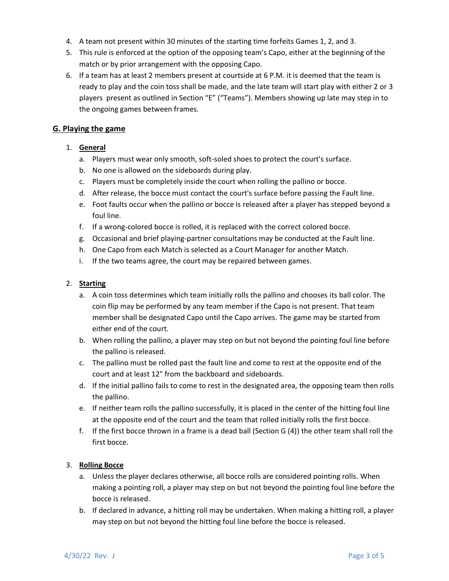- 4. A team not present within 30 minutes of the starting time forfeits Games 1, 2, and 3.
- 5. This rule is enforced at the option of the opposing team's Capo, either at the beginning of the match or by prior arrangement with the opposing Capo.
- 6. If a team has at least 2 members present at courtside at 6 P.M. it is deemed that the team is ready to play and the coin toss shall be made, and the late team will start play with either 2 or 3 players present as outlined in Section "E" ("Teams"). Members showing up late may step in to the ongoing games between frames.

# **G. Playing the game**

# 1. **General**

- a. Players must wear only smooth, soft-soled shoes to protect the court's surface.
- b. No one is allowed on the sideboards during play.
- c. Players must be completely inside the court when rolling the pallino or bocce.
- d. After release, the bocce must contact the court's surface before passing the Fault line.
- e. Foot faults occur when the pallino or bocce is released after a player has stepped beyond a foul line.
- f. If a wrong-colored bocce is rolled, it is replaced with the correct colored bocce.
- g. Occasional and brief playing-partner consultations may be conducted at the Fault line.
- h. One Capo from each Match is selected as a Court Manager for another Match.
- i. If the two teams agree, the court may be repaired between games.

#### 2. **Starting**

- a. A coin toss determines which team initially rolls the pallino and chooses its ball color. The coin flip may be performed by any team member if the Capo is not present. That team member shall be designated Capo until the Capo arrives. The game may be started from either end of the court.
- b. When rolling the pallino, a player may step on but not beyond the pointing foul line before the pallino is released.
- c. The pallino must be rolled past the fault line and come to rest at the opposite end of the court and at least 12" from the backboard and sideboards.
- d. If the initial pallino fails to come to rest in the designated area, the opposing team then rolls the pallino.
- e. If neither team rolls the pallino successfully, it is placed in the center of the hitting foul line at the opposite end of the court and the team that rolled initially rolls the first bocce.
- f. If the first bocce thrown in a frame is a dead ball (Section G (4)) the other team shall roll the first bocce.

#### 3. **Rolling Bocce**

- a. Unless the player declares otherwise, all bocce rolls are considered pointing rolls. When making a pointing roll, a player may step on but not beyond the pointing foul line before the bocce is released.
- b. If declared in advance, a hitting roll may be undertaken. When making a hitting roll, a player may step on but not beyond the hitting foul line before the bocce is released.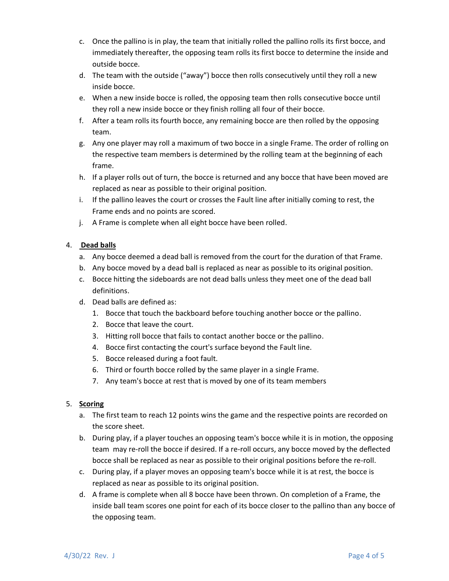- c. Once the pallino is in play, the team that initially rolled the pallino rolls its first bocce, and immediately thereafter, the opposing team rolls its first bocce to determine the inside and outside bocce.
- d. The team with the outside ("away") bocce then rolls consecutively until they roll a new inside bocce.
- e. When a new inside bocce is rolled, the opposing team then rolls consecutive bocce until they roll a new inside bocce or they finish rolling all four of their bocce.
- f. After a team rolls its fourth bocce, any remaining bocce are then rolled by the opposing team.
- g. Any one player may roll a maximum of two bocce in a single Frame. The order of rolling on the respective team members is determined by the rolling team at the beginning of each frame.
- h. If a player rolls out of turn, the bocce is returned and any bocce that have been moved are replaced as near as possible to their original position.
- i. If the pallino leaves the court or crosses the Fault line after initially coming to rest, the Frame ends and no points are scored.
- j. A Frame is complete when all eight bocce have been rolled.

# 4. **Dead balls**

- a. Any bocce deemed a dead ball is removed from the court for the duration of that Frame.
- b. Any bocce moved by a dead ball is replaced as near as possible to its original position.
- c. Bocce hitting the sideboards are not dead balls unless they meet one of the dead ball definitions.
- d. Dead balls are defined as:
	- 1. Bocce that touch the backboard before touching another bocce or the pallino.
	- 2. Bocce that leave the court.
	- 3. Hitting roll bocce that fails to contact another bocce or the pallino.
	- 4. Bocce first contacting the court's surface beyond the Fault line.
	- 5. Bocce released during a foot fault.
	- 6. Third or fourth bocce rolled by the same player in a single Frame.
	- 7. Any team's bocce at rest that is moved by one of its team members

# 5. **Scoring**

- a. The first team to reach 12 points wins the game and the respective points are recorded on the score sheet.
- b. During play, if a player touches an opposing team's bocce while it is in motion, the opposing team may re-roll the bocce if desired. If a re-roll occurs, any bocce moved by the deflected bocce shall be replaced as near as possible to their original positions before the re-roll.
- c. During play, if a player moves an opposing team's bocce while it is at rest, the bocce is replaced as near as possible to its original position.
- d. A frame is complete when all 8 bocce have been thrown. On completion of a Frame, the inside ball team scores one point for each of its bocce closer to the pallino than any bocce of the opposing team.